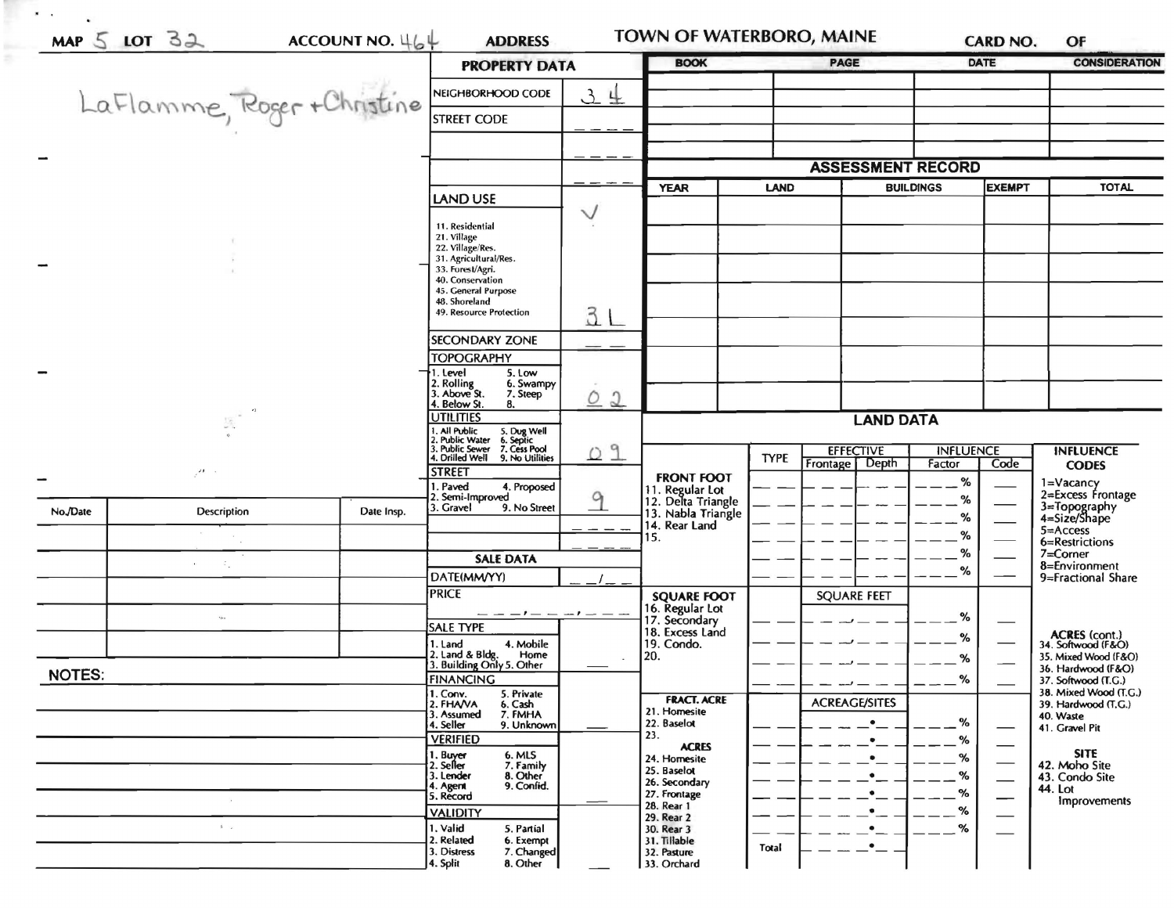|               |                             |            | <b>PROPERTY DATA</b>                                                                         |                            | <b>BOOK</b>                                                 |                  | <b>PAGE</b>                       |               | <b>DATE</b>  | <b>CONSIDERATION</b>                            |
|---------------|-----------------------------|------------|----------------------------------------------------------------------------------------------|----------------------------|-------------------------------------------------------------|------------------|-----------------------------------|---------------|--------------|-------------------------------------------------|
|               |                             |            | NEIGHBORHOOD CODE                                                                            | $\mathfrak{Z}$<br>$\pm$    |                                                             |                  |                                   |               |              |                                                 |
|               | LaFlamme, Roger + Christine |            | <b>STREET CODE</b>                                                                           |                            |                                                             |                  |                                   |               |              |                                                 |
|               |                             |            |                                                                                              |                            |                                                             |                  |                                   |               |              |                                                 |
|               |                             |            |                                                                                              |                            |                                                             |                  | <b>ASSESSMENT RECORD</b>          |               |              |                                                 |
|               |                             | LAND USE   |                                                                                              | <b>YEAR</b><br><b>LAND</b> |                                                             | <b>BUILDINGS</b> |                                   | <b>EXEMPT</b> | <b>TOTAL</b> |                                                 |
|               |                             |            | 11. Residential                                                                              | $\checkmark$               |                                                             |                  |                                   |               |              |                                                 |
|               |                             |            | 21. Village<br>22. Village/Res.                                                              |                            |                                                             |                  |                                   |               |              |                                                 |
|               |                             |            | 31. Agricultural/Res.<br>33. Forest/Agri.<br>40. Conservation                                |                            |                                                             |                  |                                   |               |              |                                                 |
|               |                             |            | 45. General Purpose<br>48. Shoreland                                                         |                            |                                                             |                  |                                   |               |              |                                                 |
|               |                             |            | 49. Resource Protection                                                                      | 3L                         |                                                             |                  |                                   |               |              |                                                 |
|               |                             |            | <b>SECONDARY ZONE</b>                                                                        |                            |                                                             |                  |                                   |               |              |                                                 |
|               |                             |            | <b>TOPOGRAPHY</b><br>1. Level<br>5. Low                                                      |                            |                                                             |                  |                                   |               |              |                                                 |
|               |                             |            | 2. Rolling<br>3. Above St.<br>6. Swampy<br>7. Steep<br>4. Below St.<br>8.                    | $\circ$<br>$\Omega$        |                                                             |                  |                                   |               |              |                                                 |
| y.            |                             |            | <b>UTILITIES</b>                                                                             |                            | <b>LAND DATA</b>                                            |                  |                                   |               |              |                                                 |
|               |                             |            | . All Public<br>5. Dug Well<br>6. Septic<br>7. Cess Pool<br>. Public Water<br>. Public Sewer | 09                         | <b>EFFECTIVE</b><br><b>INFLUENCE</b><br><b>INFLUENCE</b>    |                  |                                   |               |              |                                                 |
|               | $\overline{\phantom{a}}$    |            | 4. Drilled Well<br>9. No Utilities<br><b>STREET</b>                                          |                            | <b>FRONT FOOT</b>                                           | <b>TYPE</b>      | Frontage Depth                    | Factor        | Code         | <b>CODES</b>                                    |
|               |                             |            | . Paved<br>4. Proposed<br>2. Semi-Improved                                                   | 9                          | 11. Regular Lot<br>12. Delta Triangle<br>13. Nabla Triangle |                  |                                   | %<br>%        |              | 1=Vacancy<br>2=Excess Frontage                  |
| No./Date      | Description                 | Date Insp. | 3. Gravel<br>9. No Street                                                                    |                            | 14. Rear Land                                               |                  |                                   | %             |              | 3=Topography<br>4=Size/Shape                    |
|               |                             |            |                                                                                              |                            | 15.                                                         |                  |                                   | %             |              | 5=Access<br>6=Restrictions                      |
|               | ÷.                          |            | <b>SALE DATA</b>                                                                             |                            |                                                             |                  |                                   | $\%$<br>%     |              | 7=Corner<br>8=Environment<br>9=Fractional Share |
|               |                             |            | DATE(MM/YY)<br><b>PRICE</b>                                                                  |                            | <b>SQUARE FOOT</b>                                          |                  | <b>SQUARE FEET</b>                |               |              |                                                 |
|               | $\cdot \iota \cdot \cdot$   |            |                                                                                              |                            | 16. Regular Lot<br>17. Secondary                            |                  |                                   | $\%$          |              |                                                 |
|               |                             |            | SALE TYPE<br>4. Mobile<br>1. Land                                                            |                            | 18. Excess Land<br>19. Condo.                               |                  |                                   | %             |              | ACRES (cont.)<br>34. Softwood (F&O)             |
|               |                             |            | 2. Land & Bldg. Home<br>3. Building Only 5. Other<br>Home                                    | $\sim$                     | 20.                                                         |                  |                                   | %             |              | 35. Mixed Wood (F&O)<br>36. Hardwood (F&O)      |
| <b>NOTES:</b> |                             |            | <b>FINANCING</b><br>1. Conv.<br>5. Private                                                   |                            | <b>FRACT. ACRE</b>                                          |                  |                                   | %             |              | 37. Softwood (T.G.)<br>38. Mixed Wood (T.G.)    |
|               |                             |            | 2. FHANA<br>6. Cash<br>7. FMHA<br>3. Assumed<br>4. Seller                                    |                            | 21. Homesite<br>22. Baselot                                 |                  | <b>ACREAGE/SITES</b><br>$\bullet$ | %             |              | 39. Hardwood (T.G.)<br>40. Waste                |
|               |                             |            | 9. Unknown<br><b>VERIFIED</b>                                                                |                            | 23.<br><b>ACRES</b>                                         |                  |                                   | %             | --           | 41. Gravel Pit                                  |
|               |                             |            | 6. MLS<br>1. Buyer<br>2. Seller<br>7. Family                                                 |                            | 24. Homesite<br>25. Baselot                                 |                  |                                   | %             |              | <b>SITE</b><br>42. Moho Site                    |
|               |                             |            | 3. Lender<br>8. Other<br>9. Confid.<br>4. Agent<br>5. Record                                 |                            | 26. Secondary<br>27. Frontage                               |                  | $\bullet$                         | %<br>%        |              | 43. Condo Site<br>44. Lot                       |
|               |                             |            | <b>VALIDITY</b>                                                                              |                            | 28. Rear 1<br>29. Rear 2                                    |                  | $\bullet$                         | %             |              | Improvements                                    |
|               | $\mathbf{L}=\mathbf{p}$     |            | 1. Valid<br>5. Partial<br>2. Related<br>6. Exempt                                            |                            | 30. Rear 3<br>31. Tillable                                  |                  |                                   | %             |              |                                                 |
|               |                             |            | 3. Distress<br>7. Changed<br>8. Other<br>4. Split                                            |                            | 32. Pasture<br>33. Orchard                                  | Total            | $\bullet$ $\_$                    |               |              |                                                 |